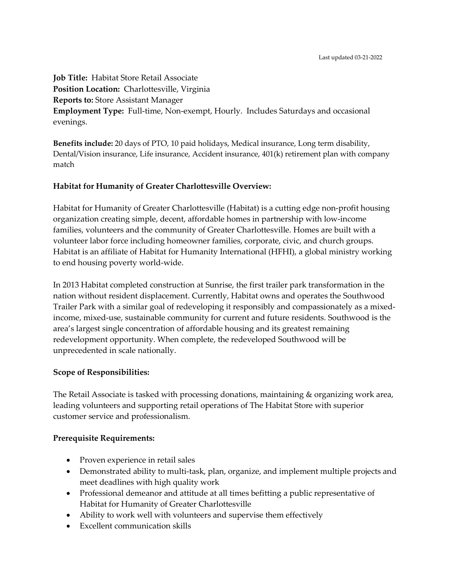**Job Title:** Habitat Store Retail Associate **Position Location:** Charlottesville, Virginia **Reports to:** Store Assistant Manager **Employment Type:** Full-time, Non-exempt, Hourly. Includes Saturdays and occasional evenings.

**Benefits include:** 20 days of PTO, 10 paid holidays, Medical insurance, Long term disability, Dental/Vision insurance, Life insurance, Accident insurance, 401(k) retirement plan with company match

# **Habitat for Humanity of Greater Charlottesville Overview:**

Habitat for Humanity of Greater Charlottesville (Habitat) is a cutting edge non-profit housing organization creating simple, decent, affordable homes in partnership with low-income families, volunteers and the community of Greater Charlottesville. Homes are built with a volunteer labor force including homeowner families, corporate, civic, and church groups. Habitat is an affiliate of Habitat for Humanity International (HFHI), a global ministry working to end housing poverty world-wide.

In 2013 Habitat completed construction at Sunrise, the first trailer park transformation in the nation without resident displacement. Currently, Habitat owns and operates the Southwood Trailer Park with a similar goal of redeveloping it responsibly and compassionately as a mixedincome, mixed-use, sustainable community for current and future residents. Southwood is the area's largest single concentration of affordable housing and its greatest remaining redevelopment opportunity. When complete, the redeveloped Southwood will be unprecedented in scale nationally.

## **Scope of Responsibilities:**

The Retail Associate is tasked with processing donations, maintaining & organizing work area, leading volunteers and supporting retail operations of The Habitat Store with superior customer service and professionalism.

## **Prerequisite Requirements:**

- Proven experience in retail sales
- Demonstrated ability to multi-task, plan, organize, and implement multiple projects and meet deadlines with high quality work
- Professional demeanor and attitude at all times befitting a public representative of Habitat for Humanity of Greater Charlottesville
- Ability to work well with volunteers and supervise them effectively
- Excellent communication skills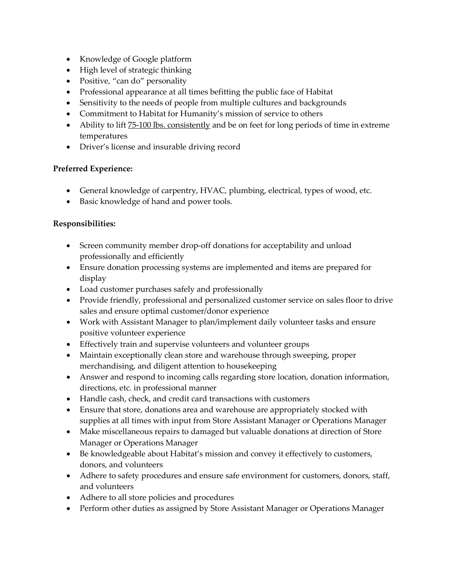- Knowledge of Google platform
- High level of strategic thinking
- Positive, "can do" personality
- Professional appearance at all times befitting the public face of Habitat
- Sensitivity to the needs of people from multiple cultures and backgrounds
- Commitment to Habitat for Humanity's mission of service to others
- Ability to lift  $75-100$  lbs. consistently and be on feet for long periods of time in extreme temperatures
- Driver's license and insurable driving record

## **Preferred Experience:**

- General knowledge of carpentry, HVAC, plumbing, electrical, types of wood, etc.
- Basic knowledge of hand and power tools.

## **Responsibilities:**

- Screen community member drop-off donations for acceptability and unload professionally and efficiently
- Ensure donation processing systems are implemented and items are prepared for display
- Load customer purchases safely and professionally
- Provide friendly, professional and personalized customer service on sales floor to drive sales and ensure optimal customer/donor experience
- Work with Assistant Manager to plan/implement daily volunteer tasks and ensure positive volunteer experience
- Effectively train and supervise volunteers and volunteer groups
- Maintain exceptionally clean store and warehouse through sweeping, proper merchandising, and diligent attention to housekeeping
- Answer and respond to incoming calls regarding store location, donation information, directions, etc. in professional manner
- Handle cash, check, and credit card transactions with customers
- Ensure that store, donations area and warehouse are appropriately stocked with supplies at all times with input from Store Assistant Manager or Operations Manager
- Make miscellaneous repairs to damaged but valuable donations at direction of Store Manager or Operations Manager
- Be knowledgeable about Habitat's mission and convey it effectively to customers, donors, and volunteers
- Adhere to safety procedures and ensure safe environment for customers, donors, staff, and volunteers
- Adhere to all store policies and procedures
- Perform other duties as assigned by Store Assistant Manager or Operations Manager